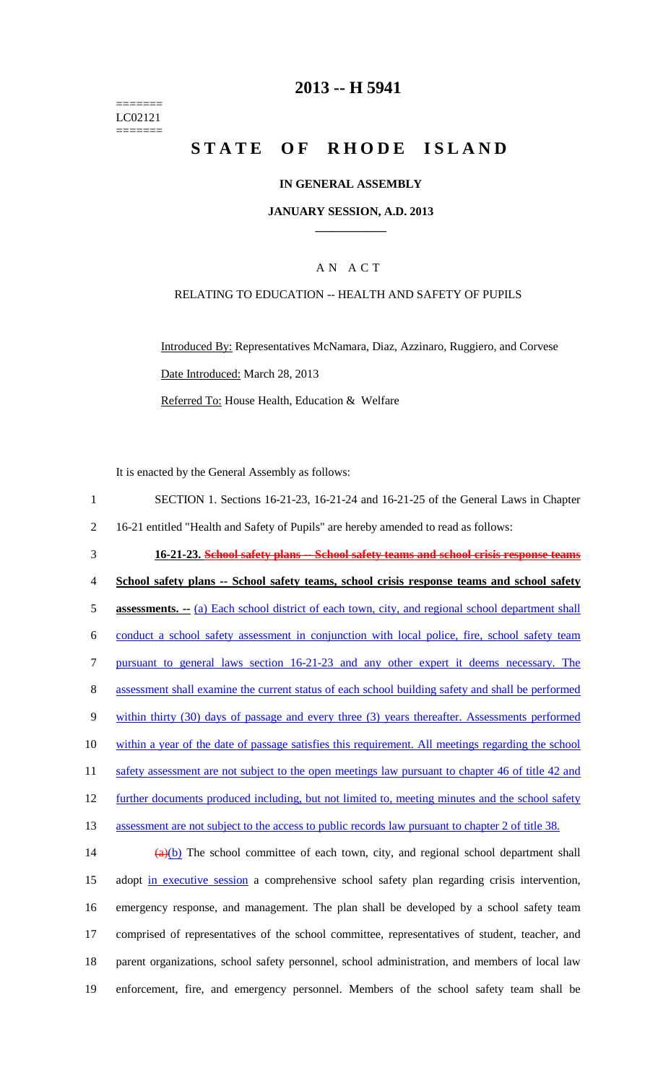======= LC02121 =======

### **2013 -- H 5941**

# **STATE OF RHODE ISLAND**

#### **IN GENERAL ASSEMBLY**

#### **JANUARY SESSION, A.D. 2013 \_\_\_\_\_\_\_\_\_\_\_\_**

### A N A C T

#### RELATING TO EDUCATION -- HEALTH AND SAFETY OF PUPILS

Introduced By: Representatives McNamara, Diaz, Azzinaro, Ruggiero, and Corvese Date Introduced: March 28, 2013 Referred To: House Health, Education & Welfare

It is enacted by the General Assembly as follows:

1 SECTION 1. Sections 16-21-23, 16-21-24 and 16-21-25 of the General Laws in Chapter 2 16-21 entitled "Health and Safety of Pupils" are hereby amended to read as follows: 3 **16-21-23. School safety plans -- School safety teams and school crisis response teams** 4 **School safety plans -- School safety teams, school crisis response teams and school safety**  5 **assessments.** --- (a) Each school district of each town, city, and regional school department shall 6 conduct a school safety assessment in conjunction with local police, fire, school safety team 7 pursuant to general laws section 16-21-23 and any other expert it deems necessary. The 8 assessment shall examine the current status of each school building safety and shall be performed 9 within thirty (30) days of passage and every three (3) years thereafter. Assessments performed 10 within a year of the date of passage satisfies this requirement. All meetings regarding the school 11 safety assessment are not subject to the open meetings law pursuant to chapter 46 of title 42 and 12 further documents produced including, but not limited to, meeting minutes and the school safety 13 assessment are not subject to the access to public records law pursuant to chapter 2 of title 38. 14  $\frac{(a)(b)}{b}$  The school committee of each town, city, and regional school department shall 15 adopt in executive session a comprehensive school safety plan regarding crisis intervention,

16 emergency response, and management. The plan shall be developed by a school safety team 17 comprised of representatives of the school committee, representatives of student, teacher, and 18 parent organizations, school safety personnel, school administration, and members of local law 19 enforcement, fire, and emergency personnel. Members of the school safety team shall be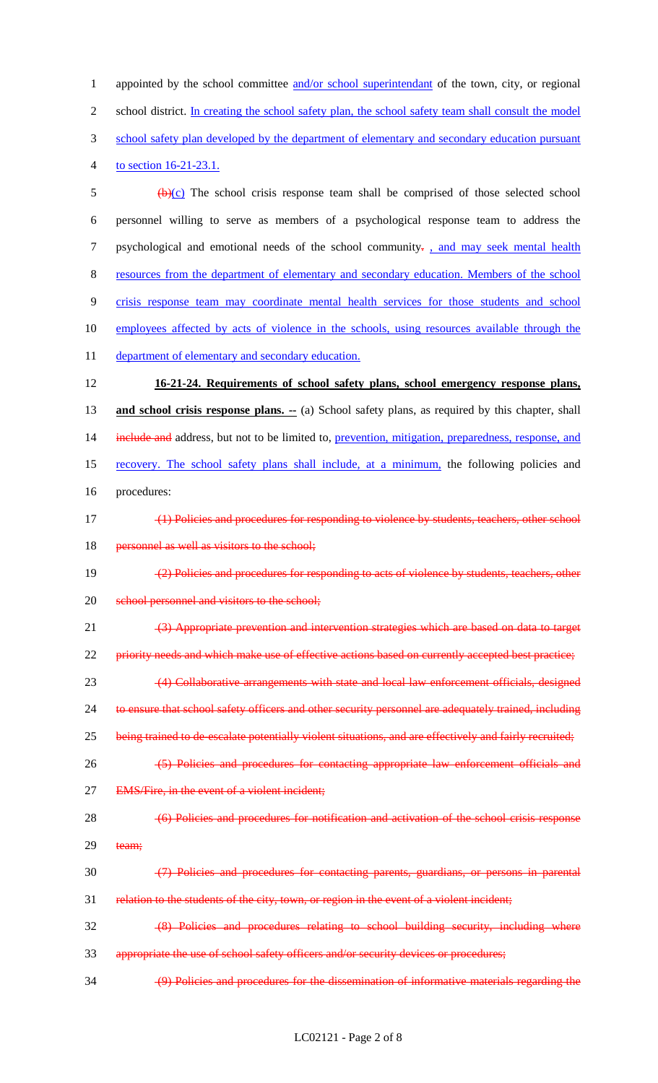1 appointed by the school committee and/or school superintendant of the town, city, or regional 2 school district. In creating the school safety plan, the school safety team shall consult the model 3 school safety plan developed by the department of elementary and secondary education pursuant 4 to section 16-21-23.1.

 $\frac{1}{2}$  (b)(c) The school crisis response team shall be comprised of those selected school 6 personnel willing to serve as members of a psychological response team to address the 7 psychological and emotional needs of the school community- , and may seek mental health 8 resources from the department of elementary and secondary education. Members of the school 9 crisis response team may coordinate mental health services for those students and school 10 employees affected by acts of violence in the schools, using resources available through the 11 department of elementary and secondary education. 12 **16-21-24. Requirements of school safety plans, school emergency response plans,**  13 **and school crisis response plans.** -- (a) School safety plans, as required by this chapter, shall 14 include and address, but not to be limited to, prevention, mitigation, preparedness, response, and 15 recovery. The school safety plans shall include, at a minimum, the following policies and 16 procedures: 17 (1) Policies and procedures for responding to violence by students, teachers, other school 18 personnel as well as visitors to the school; 19 (2) Policies and procedures for responding to acts of violence by students, teachers, other 20 school personnel and visitors to the school; 21 (3) Appropriate prevention and intervention strategies which are based on data to target 22 priority needs and which make use of effective actions based on currently accepted best practice; 23 (4) Collaborative arrangements with state and local law enforcement officials, designed 24 to ensure that school safety officers and other security personnel are adequately trained, including 25 being trained to de-escalate potentially violent situations, and are effectively and fairly recruited; 26 (5) Policies and procedures for contacting appropriate law enforcement officials and 27 EMS/Fire, in the event of a violent incident; 28 (6) Policies and procedures for notification and activation of the school crisis response 29 team; 30 (7) Policies and procedures for contacting parents, guardians, or persons in parental 31 relation to the students of the city, town, or region in the event of a violent incident; 32 (8) Policies and procedures relating to school building security, including where 33 appropriate the use of school safety officers and/or security devices or procedures;

34 (9) Policies and procedures for the dissemination of informative materials regarding the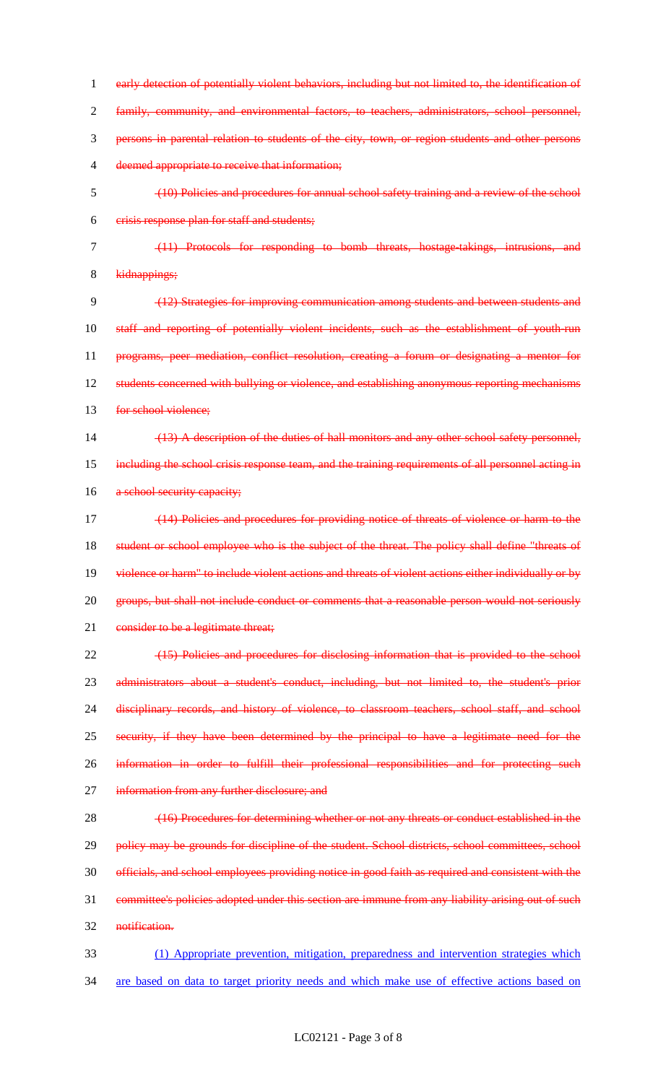1 early detection of potentially violent behaviors, including but not limited to, the identification of 2 family, community, and environmental factors, to teachers, administrators, school personnel, 3 persons in parental relation to students of the city, town, or region students and other persons 4 deemed appropriate to receive that information; 5 (10) Policies and procedures for annual school safety training and a review of the school 6 crisis response plan for staff and students; 7 (11) Protocols for responding to bomb threats, hostage-takings, intrusions, and 8 kidnappings; 9 (12) Strategies for improving communication among students and between students and 10 staff and reporting of potentially violent incidents, such as the establishment of youth-run 11 programs, peer mediation, conflict resolution, creating a forum or designating a mentor for 12 students concerned with bullying or violence, and establishing anonymous reporting mechanisms 13 for school violence; 14 (13) A description of the duties of hall monitors and any other school safety personnel, 15 including the school crisis response team, and the training requirements of all personnel acting in 16 a school security capacity; 17 (14) Policies and procedures for providing notice of threats of violence or harm to the 18 student or school employee who is the subject of the threat. The policy shall define "threats of 19 violence or harm" to include violent actions and threats of violent actions either individually or by 20 groups, but shall not include conduct or comments that a reasonable person would not seriously 21 consider to be a legitimate threat; 22 (15) Policies and procedures for disclosing information that is provided to the school 23 administrators about a student's conduct, including, but not limited to, the student's prior 24 disciplinary records, and history of violence, to classroom teachers, school staff, and school 25 security, if they have been determined by the principal to have a legitimate need for the 26 information in order to fulfill their professional responsibilities and for protecting such 27 information from any further disclosure; and 28 (16) Procedures for determining whether or not any threats or conduct established in the 29 policy may be grounds for discipline of the student. School districts, school committees, school 30 officials, and school employees providing notice in good faith as required and consistent with the 31 committee's policies adopted under this section are immune from any liability arising out of such 32 notification. 33 (1) Appropriate prevention, mitigation, preparedness and intervention strategies which 34 are based on data to target priority needs and which make use of effective actions based on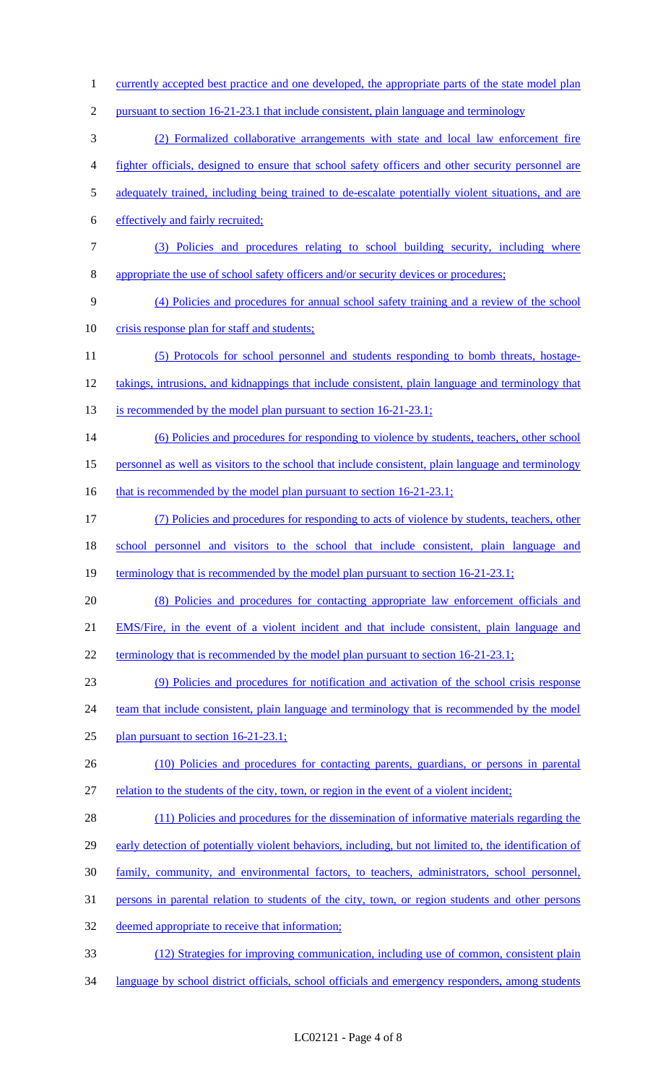1 currently accepted best practice and one developed, the appropriate parts of the state model plan 2 pursuant to section 16-21-23.1 that include consistent, plain language and terminology 3 (2) Formalized collaborative arrangements with state and local law enforcement fire 4 fighter officials, designed to ensure that school safety officers and other security personnel are 5 adequately trained, including being trained to de-escalate potentially violent situations, and are 6 effectively and fairly recruited; 7 (3) Policies and procedures relating to school building security, including where 8 appropriate the use of school safety officers and/or security devices or procedures; 9 (4) Policies and procedures for annual school safety training and a review of the school 10 crisis response plan for staff and students; 11 (5) Protocols for school personnel and students responding to bomb threats, hostage-12 takings, intrusions, and kidnappings that include consistent, plain language and terminology that 13 is recommended by the model plan pursuant to section 16-21-23.1; 14 (6) Policies and procedures for responding to violence by students, teachers, other school 15 personnel as well as visitors to the school that include consistent, plain language and terminology 16 that is recommended by the model plan pursuant to section 16-21-23.1; 17 (7) Policies and procedures for responding to acts of violence by students, teachers, other 18 school personnel and visitors to the school that include consistent, plain language and 19 terminology that is recommended by the model plan pursuant to section 16-21-23.1; 20 (8) Policies and procedures for contacting appropriate law enforcement officials and 21 EMS/Fire, in the event of a violent incident and that include consistent, plain language and 22 terminology that is recommended by the model plan pursuant to section 16-21-23.1; 23 (9) Policies and procedures for notification and activation of the school crisis response 24 team that include consistent, plain language and terminology that is recommended by the model 25 plan pursuant to section 16-21-23.1; 26 (10) Policies and procedures for contacting parents, guardians, or persons in parental 27 relation to the students of the city, town, or region in the event of a violent incident; 28 (11) Policies and procedures for the dissemination of informative materials regarding the 29 early detection of potentially violent behaviors, including, but not limited to, the identification of 30 family, community, and environmental factors, to teachers, administrators, school personnel, 31 persons in parental relation to students of the city, town, or region students and other persons 32 deemed appropriate to receive that information; 33 (12) Strategies for improving communication, including use of common, consistent plain 34 language by school district officials, school officials and emergency responders, among students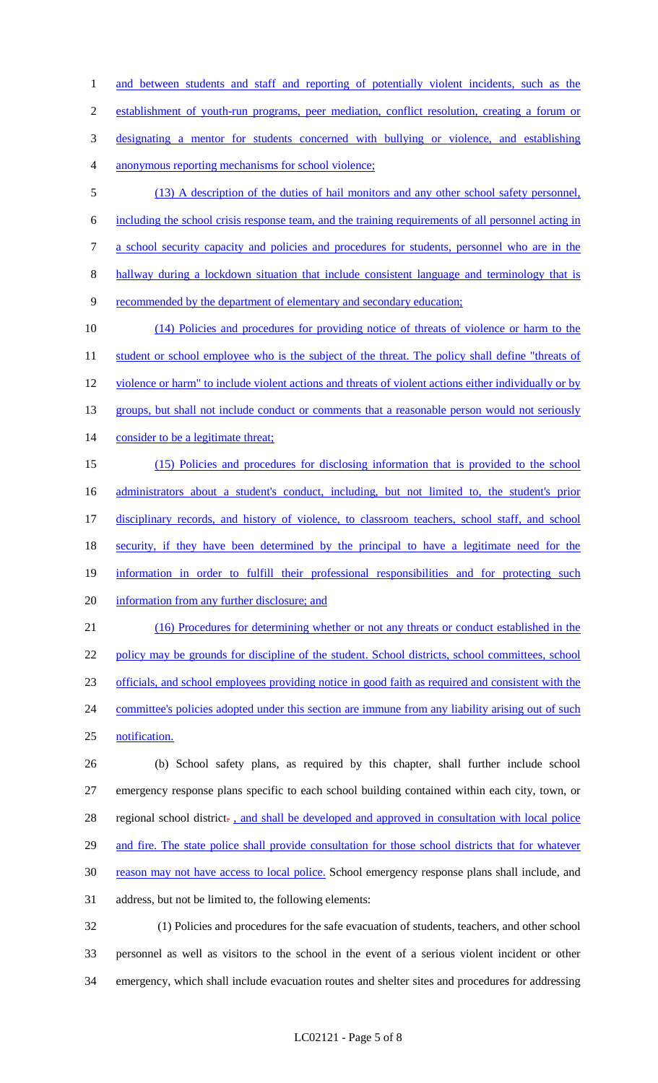1 and between students and staff and reporting of potentially violent incidents, such as the 2 establishment of youth-run programs, peer mediation, conflict resolution, creating a forum or 3 designating a mentor for students concerned with bullying or violence, and establishing 4 anonymous reporting mechanisms for school violence;

- 5 (13) A description of the duties of hail monitors and any other school safety personnel, 6 including the school crisis response team, and the training requirements of all personnel acting in 7 a school security capacity and policies and procedures for students, personnel who are in the
- 8 hallway during a lockdown situation that include consistent language and terminology that is
- 9 recommended by the department of elementary and secondary education;

10 (14) Policies and procedures for providing notice of threats of violence or harm to the 11 student or school employee who is the subject of the threat. The policy shall define "threats of 12 violence or harm" to include violent actions and threats of violent actions either individually or by 13 groups, but shall not include conduct or comments that a reasonable person would not seriously 14 consider to be a legitimate threat; 15 (15) Policies and procedures for disclosing information that is provided to the school

16 administrators about a student's conduct, including, but not limited to, the student's prior 17 disciplinary records, and history of violence, to classroom teachers, school staff, and school 18 security, if they have been determined by the principal to have a legitimate need for the 19 information in order to fulfill their professional responsibilities and for protecting such

20 information from any further disclosure; and

21 (16) Procedures for determining whether or not any threats or conduct established in the 22 policy may be grounds for discipline of the student. School districts, school committees, school 23 officials, and school employees providing notice in good faith as required and consistent with the 24 committee's policies adopted under this section are immune from any liability arising out of such 25 notification.

26 (b) School safety plans, as required by this chapter, shall further include school 27 emergency response plans specific to each school building contained within each city, town, or 28 regional school district. , and shall be developed and approved in consultation with local police 29 and fire. The state police shall provide consultation for those school districts that for whatever 30 reason may not have access to local police. School emergency response plans shall include, and 31 address, but not be limited to, the following elements:

32 (1) Policies and procedures for the safe evacuation of students, teachers, and other school 33 personnel as well as visitors to the school in the event of a serious violent incident or other 34 emergency, which shall include evacuation routes and shelter sites and procedures for addressing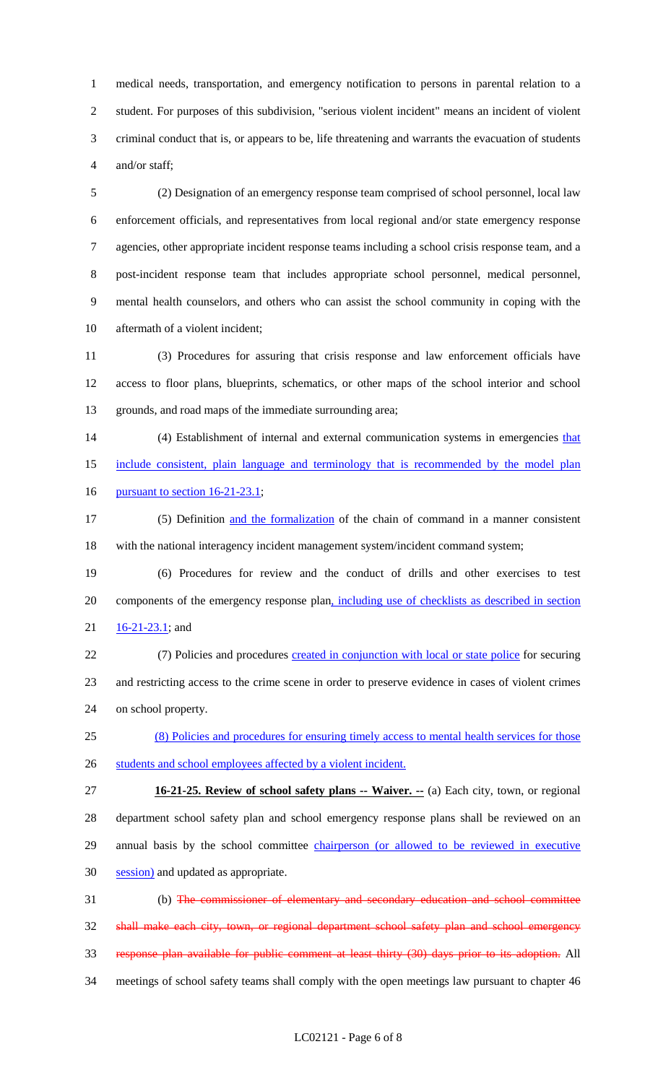1 medical needs, transportation, and emergency notification to persons in parental relation to a 2 student. For purposes of this subdivision, "serious violent incident" means an incident of violent 3 criminal conduct that is, or appears to be, life threatening and warrants the evacuation of students 4 and/or staff;

5 (2) Designation of an emergency response team comprised of school personnel, local law 6 enforcement officials, and representatives from local regional and/or state emergency response 7 agencies, other appropriate incident response teams including a school crisis response team, and a 8 post-incident response team that includes appropriate school personnel, medical personnel, 9 mental health counselors, and others who can assist the school community in coping with the 10 aftermath of a violent incident;

11 (3) Procedures for assuring that crisis response and law enforcement officials have 12 access to floor plans, blueprints, schematics, or other maps of the school interior and school 13 grounds, and road maps of the immediate surrounding area;

14 (4) Establishment of internal and external communication systems in emergencies that 15 include consistent, plain language and terminology that is recommended by the model plan

16 pursuant to section 16-21-23.1;

17 (5) Definition and the formalization of the chain of command in a manner consistent 18 with the national interagency incident management system/incident command system;

19 (6) Procedures for review and the conduct of drills and other exercises to test 20 components of the emergency response plan, including use of checklists as described in section  $21 \quad 16-21-23.1$ ; and

22 (7) Policies and procedures created in conjunction with local or state police for securing 23 and restricting access to the crime scene in order to preserve evidence in cases of violent crimes 24 on school property.

25 (8) Policies and procedures for ensuring timely access to mental health services for those 26 students and school employees affected by a violent incident.

27 **16-21-25. Review of school safety plans -- Waiver. --** (a) Each city, town, or regional 28 department school safety plan and school emergency response plans shall be reviewed on an 29 annual basis by the school committee *chairperson* (or allowed to be reviewed in executive 30 session) and updated as appropriate.

31 (b) The commissioner of elementary and secondary education and school committee 32 shall make each city, town, or regional department school safety plan and school emergency 33 response plan available for public comment at least thirty (30) days prior to its adoption. All 34 meetings of school safety teams shall comply with the open meetings law pursuant to chapter 46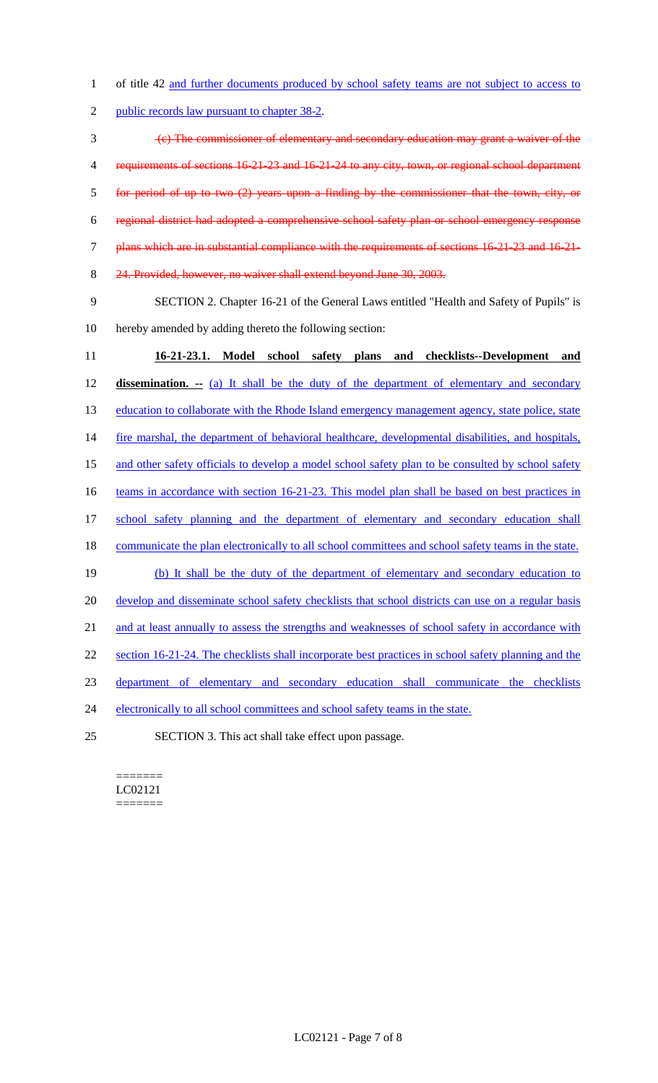1 of title 42 and further documents produced by school safety teams are not subject to access to

2 public records law pursuant to chapter 38-2.

3 (c) The commissioner of elementary and secondary education may grant a waiver of the 4 requirements of sections 16-21-23 and 16-21-24 to any city, town, or regional school department 5 for period of up to two (2) years upon a finding by the commissioner that the town, city, or 6 regional district had adopted a comprehensive school safety plan or school emergency response 7 plans which are in substantial compliance with the requirements of sections 16-21-23 and 16-21- 8 24. Provided, however, no waiver shall extend beyond June 30, 2003.

9 SECTION 2. Chapter 16-21 of the General Laws entitled "Health and Safety of Pupils" is 10 hereby amended by adding thereto the following section:

11 **16-21-23.1. Model school safety plans and checklists--Development and**  12 **dissemination. --** (a) It shall be the duty of the department of elementary and secondary 13 education to collaborate with the Rhode Island emergency management agency, state police, state 14 fire marshal, the department of behavioral healthcare, developmental disabilities, and hospitals, 15 and other safety officials to develop a model school safety plan to be consulted by school safety 16 teams in accordance with section 16-21-23. This model plan shall be based on best practices in 17 school safety planning and the department of elementary and secondary education shall 18 communicate the plan electronically to all school committees and school safety teams in the state. 19 (b) It shall be the duty of the department of elementary and secondary education to 20 develop and disseminate school safety checklists that school districts can use on a regular basis 21 and at least annually to assess the strengths and weaknesses of school safety in accordance with 22 section 16-21-24. The checklists shall incorporate best practices in school safety planning and the 23 department of elementary and secondary education shall communicate the checklists 24 electronically to all school committees and school safety teams in the state. 25 SECTION 3. This act shall take effect upon passage.

======= LC02121 =======